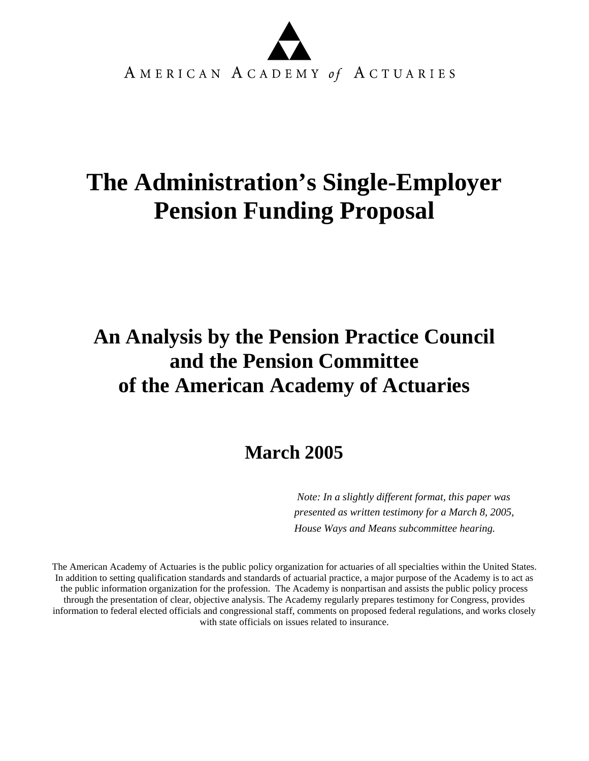

# **The Administration's Single-Employer Pension Funding Proposal**

# **An Analysis by the Pension Practice Council and the Pension Committee of the American Academy of Actuaries**

# **March 2005**

*Note: In a slightly different format, this paper was presented as written testimony for a March 8, 2005, House Ways and Means subcommittee hearing.*

 The American Academy of Actuaries is the public policy organization for actuaries of all specialties within the United States. In addition to setting qualification standards and standards of actuarial practice, a major purpose of the Academy is to act as the public information organization for the profession. The Academy is nonpartisan and assists the public policy process through the presentation of clear, objective analysis. The Academy regularly prepares testimony for Congress, provides information to federal elected officials and congressional staff, comments on proposed federal regulations, and works closely with state officials on issues related to insurance.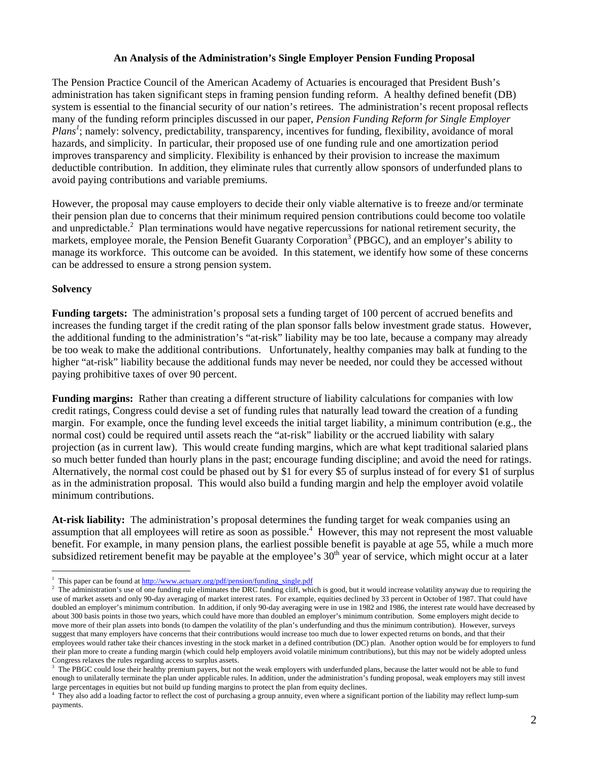#### **An Analysis of the Administration's Single Employer Pension Funding Proposal**

The Pension Practice Council of the American Academy of Actuaries is encouraged that President Bush's administration has taken significant steps in framing pension funding reform. A healthy defined benefit (DB) system is essential to the financial security of our nation's retirees. The administration's recent proposal reflects many of the funding reform principles discussed in our paper, *Pension Funding Reform for Single Employer*  Plans<sup>1</sup>; namely: solvency, predictability, transparency, incentives for funding, flexibility, avoidance of moral hazards, and simplicity. In particular, their proposed use of one funding rule and one amortization period improves transparency and simplicity. Flexibility is enhanced by their provision to increase the maximum deductible contribution. In addition, they eliminate rules that currently allow sponsors of underfunded plans to avoid paying contributions and variable premiums.

However, the proposal may cause employers to decide their only viable alternative is to freeze and/or terminate their pension plan due to concerns that their minimum required pension contributions could become too volatile and unpredictable.<sup>2</sup> Plan terminations would have negative repercussions for national retirement security, the markets, employee morale, the Pension Benefit Guaranty Corporation<sup>3</sup> (PBGC), and an employer's ability to manage its workforce. This outcome can be avoided. In this statement, we identify how some of these concerns can be addressed to ensure a strong pension system.

#### **Solvency**

 $\overline{a}$ 

**Funding targets:** The administration's proposal sets a funding target of 100 percent of accrued benefits and increases the funding target if the credit rating of the plan sponsor falls below investment grade status. However, the additional funding to the administration's "at-risk" liability may be too late, because a company may already be too weak to make the additional contributions. Unfortunately, healthy companies may balk at funding to the higher "at-risk" liability because the additional funds may never be needed, nor could they be accessed without paying prohibitive taxes of over 90 percent.

**Funding margins:** Rather than creating a different structure of liability calculations for companies with low credit ratings, Congress could devise a set of funding rules that naturally lead toward the creation of a funding margin. For example, once the funding level exceeds the initial target liability, a minimum contribution (e.g., the normal cost) could be required until assets reach the "at-risk" liability or the accrued liability with salary projection (as in current law). This would create funding margins, which are what kept traditional salaried plans so much better funded than hourly plans in the past; encourage funding discipline; and avoid the need for ratings. Alternatively, the normal cost could be phased out by \$1 for every \$5 of surplus instead of for every \$1 of surplus as in the administration proposal. This would also build a funding margin and help the employer avoid volatile minimum contributions.

**At-risk liability:** The administration's proposal determines the funding target for weak companies using an assumption that all employees will retire as soon as possible.<sup>4</sup> However, this may not represent the most valuable benefit. For example, in many pension plans, the earliest possible benefit is payable at age 55, while a much more subsidized retirement benefit may be payable at the employee's 30<sup>th</sup> year of service, which might occur at a later

<sup>&</sup>lt;sup>1</sup> This paper can be found at <u>http://www.actuary.org/pdf/pension/funding\_single.pdf</u>  $\frac{2}{\pi}$  The edministration's use of one funding rule eliminates the DPC funding eliff which

The administration's use of one funding rule eliminates the DRC funding cliff, which is good, but it would increase volatility anyway due to requiring the use of market assets and only 90-day averaging of market interest rates. For example, equities declined by 33 percent in October of 1987. That could have doubled an employer's minimum contribution. In addition, if only 90-day averaging were in use in 1982 and 1986, the interest rate would have decreased by about 300 basis points in those two years, which could have more than doubled an employer's minimum contribution. Some employers might decide to move more of their plan assets into bonds (to dampen the volatility of the plan's underfunding and thus the minimum contribution). However, surveys suggest that many employers have concerns that their contributions would increase too much due to lower expected returns on bonds, and that their employees would rather take their chances investing in the stock market in a defined contribution (DC) plan. Another option would be for employers to fund their plan more to create a funding margin (which could help employers avoid volatile minimum contributions), but this may not be widely adopted unless Congress relaxes the rules regarding access to surplus assets.

<sup>3</sup> The PBGC could lose their healthy premium payers, but not the weak employers with underfunded plans, because the latter would not be able to fund enough to unilaterally terminate the plan under applicable rules. In addition, under the administration's funding proposal, weak employers may still invest large percentages in equities but not build up funding margins to protect the plan from equity declines. 4

They also add a loading factor to reflect the cost of purchasing a group annuity, even where a significant portion of the liability may reflect lump-sum payments.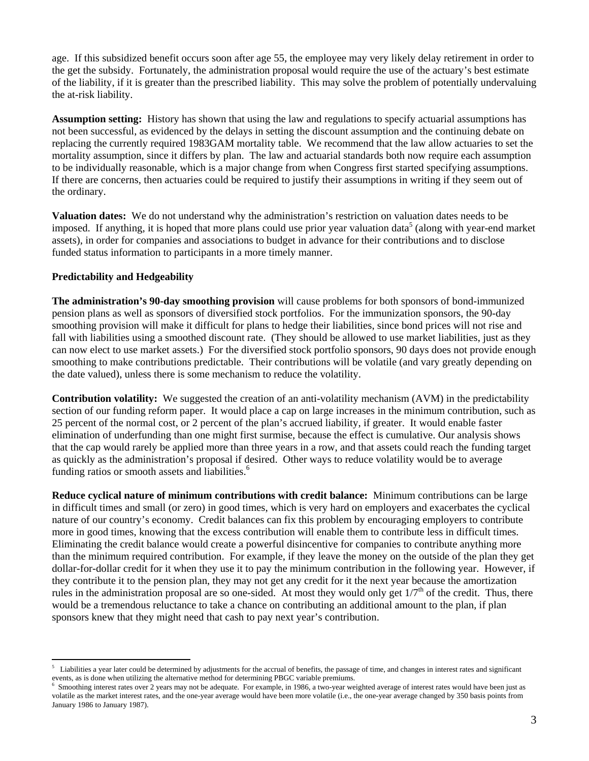age. If this subsidized benefit occurs soon after age 55, the employee may very likely delay retirement in order to the get the subsidy. Fortunately, the administration proposal would require the use of the actuary's best estimate of the liability, if it is greater than the prescribed liability. This may solve the problem of potentially undervaluing the at-risk liability.

**Assumption setting:** History has shown that using the law and regulations to specify actuarial assumptions has not been successful, as evidenced by the delays in setting the discount assumption and the continuing debate on replacing the currently required 1983GAM mortality table. We recommend that the law allow actuaries to set the mortality assumption, since it differs by plan. The law and actuarial standards both now require each assumption to be individually reasonable, which is a major change from when Congress first started specifying assumptions. If there are concerns, then actuaries could be required to justify their assumptions in writing if they seem out of the ordinary.

**Valuation dates:** We do not understand why the administration's restriction on valuation dates needs to be imposed. If anything, it is hoped that more plans could use prior year valuation data<sup>5</sup> (along with year-end market assets), in order for companies and associations to budget in advance for their contributions and to disclose funded status information to participants in a more timely manner.

#### **Predictability and Hedgeability**

 $\overline{a}$ 

**The administration's 90-day smoothing provision** will cause problems for both sponsors of bond-immunized pension plans as well as sponsors of diversified stock portfolios. For the immunization sponsors, the 90-day smoothing provision will make it difficult for plans to hedge their liabilities, since bond prices will not rise and fall with liabilities using a smoothed discount rate. (They should be allowed to use market liabilities, just as they can now elect to use market assets.) For the diversified stock portfolio sponsors, 90 days does not provide enough smoothing to make contributions predictable. Their contributions will be volatile (and vary greatly depending on the date valued), unless there is some mechanism to reduce the volatility.

**Contribution volatility:** We suggested the creation of an anti-volatility mechanism (AVM) in the predictability section of our funding reform paper. It would place a cap on large increases in the minimum contribution, such as 25 percent of the normal cost, or 2 percent of the plan's accrued liability, if greater. It would enable faster elimination of underfunding than one might first surmise, because the effect is cumulative. Our analysis shows that the cap would rarely be applied more than three years in a row, and that assets could reach the funding target as quickly as the administration's proposal if desired. Other ways to reduce volatility would be to average funding ratios or smooth assets and liabilities.<sup>6</sup>

**Reduce cyclical nature of minimum contributions with credit balance:** Minimum contributions can be large in difficult times and small (or zero) in good times, which is very hard on employers and exacerbates the cyclical nature of our country's economy. Credit balances can fix this problem by encouraging employers to contribute more in good times, knowing that the excess contribution will enable them to contribute less in difficult times. Eliminating the credit balance would create a powerful disincentive for companies to contribute anything more than the minimum required contribution.For example, if they leave the money on the outside of the plan they get dollar-for-dollar credit for it when they use it to pay the minimum contribution in the following year. However, if they contribute it to the pension plan, they may not get any credit for it the next year because the amortization rules in the administration proposal are so one-sided. At most they would only get  $1/7<sup>th</sup>$  of the credit. Thus, there would be a tremendous reluctance to take a chance on contributing an additional amount to the plan, if plan sponsors knew that they might need that cash to pay next year's contribution.

<sup>5</sup> Liabilities a year later could be determined by adjustments for the accrual of benefits, the passage of time, and changes in interest rates and significant events, as is done when utilizing the alternative method for determining PBGC variable premiums.<br><sup>6</sup> Smoothing interest rates over 2 years may not be adopted. For example, in 1986, a two year was

Smoothing interest rates over 2 years may not be adequate. For example, in 1986, a two-year weighted average of interest rates would have been just as volatile as the market interest rates, and the one-year average would have been more volatile (i.e., the one-year average changed by 350 basis points from January 1986 to January 1987).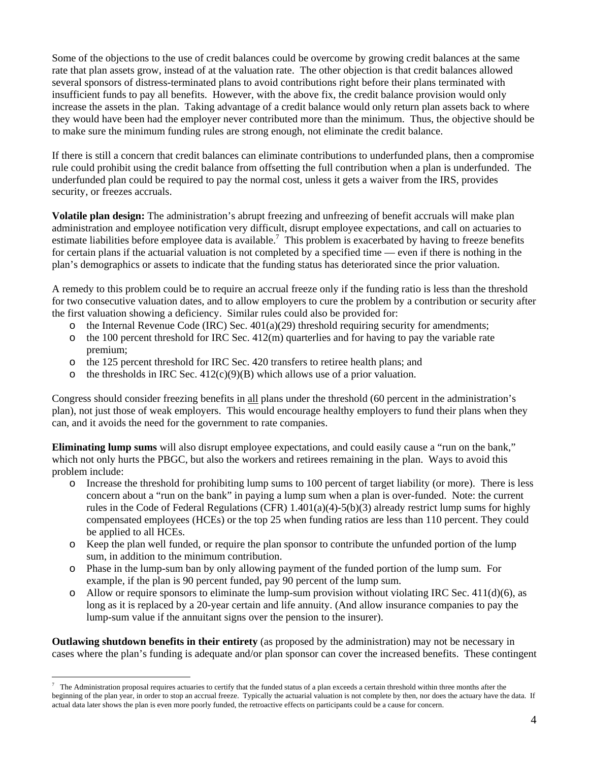Some of the objections to the use of credit balances could be overcome by growing credit balances at the same rate that plan assets grow, instead of at the valuation rate. The other objection is that credit balances allowed several sponsors of distress-terminated plans to avoid contributions right before their plans terminated with insufficient funds to pay all benefits. However, with the above fix, the credit balance provision would only increase the assets in the plan. Taking advantage of a credit balance would only return plan assets back to where they would have been had the employer never contributed more than the minimum. Thus, the objective should be to make sure the minimum funding rules are strong enough, not eliminate the credit balance.

If there is still a concern that credit balances can eliminate contributions to underfunded plans, then a compromise rule could prohibit using the credit balance from offsetting the full contribution when a plan is underfunded. The underfunded plan could be required to pay the normal cost, unless it gets a waiver from the IRS, provides security, or freezes accruals.

**Volatile plan design:** The administration's abrupt freezing and unfreezing of benefit accruals will make plan administration and employee notification very difficult, disrupt employee expectations, and call on actuaries to estimate liabilities before employee data is available.<sup>7</sup> This problem is exacerbated by having to freeze benefits for certain plans if the actuarial valuation is not completed by a specified time — even if there is nothing in the plan's demographics or assets to indicate that the funding status has deteriorated since the prior valuation.

A remedy to this problem could be to require an accrual freeze only if the funding ratio is less than the threshold for two consecutive valuation dates, and to allow employers to cure the problem by a contribution or security after the first valuation showing a deficiency. Similar rules could also be provided for:

- $\circ$  the Internal Revenue Code (IRC) Sec. 401(a)(29) threshold requiring security for amendments;
- o the 100 percent threshold for IRC Sec. 412(m) quarterlies and for having to pay the variable rate premium;
- o the 125 percent threshold for IRC Sec. 420 transfers to retiree health plans; and
- o the thresholds in IRC Sec.  $412(c)(9)(B)$  which allows use of a prior valuation.

Congress should consider freezing benefits in all plans under the threshold (60 percent in the administration's plan), not just those of weak employers. This would encourage healthy employers to fund their plans when they can, and it avoids the need for the government to rate companies.

**Eliminating lump sums** will also disrupt employee expectations, and could easily cause a "run on the bank," which not only hurts the PBGC, but also the workers and retirees remaining in the plan. Ways to avoid this problem include:

- o Increase the threshold for prohibiting lump sums to 100 percent of target liability (or more). There is less concern about a "run on the bank" in paying a lump sum when a plan is over-funded. Note: the current rules in the Code of Federal Regulations (CFR)  $1.401(a)(4)-5(b)(3)$  already restrict lump sums for highly compensated employees (HCEs) or the top 25 when funding ratios are less than 110 percent. They could be applied to all HCEs.
- o Keep the plan well funded, or require the plan sponsor to contribute the unfunded portion of the lump sum, in addition to the minimum contribution.
- o Phase in the lump-sum ban by only allowing payment of the funded portion of the lump sum. For example, if the plan is 90 percent funded, pay 90 percent of the lump sum.
- $\circ$  Allow or require sponsors to eliminate the lump-sum provision without violating IRC Sec. 411(d)(6), as long as it is replaced by a 20-year certain and life annuity. (And allow insurance companies to pay the lump-sum value if the annuitant signs over the pension to the insurer).

**Outlawing shutdown benefits in their entirety** (as proposed by the administration) may not be necessary in cases where the plan's funding is adequate and/or plan sponsor can cover the increased benefits. These contingent

 $\overline{a}$ 

<sup>7</sup> The Administration proposal requires actuaries to certify that the funded status of a plan exceeds a certain threshold within three months after the beginning of the plan year, in order to stop an accrual freeze. Typically the actuarial valuation is not complete by then, nor does the actuary have the data. If actual data later shows the plan is even more poorly funded, the retroactive effects on participants could be a cause for concern.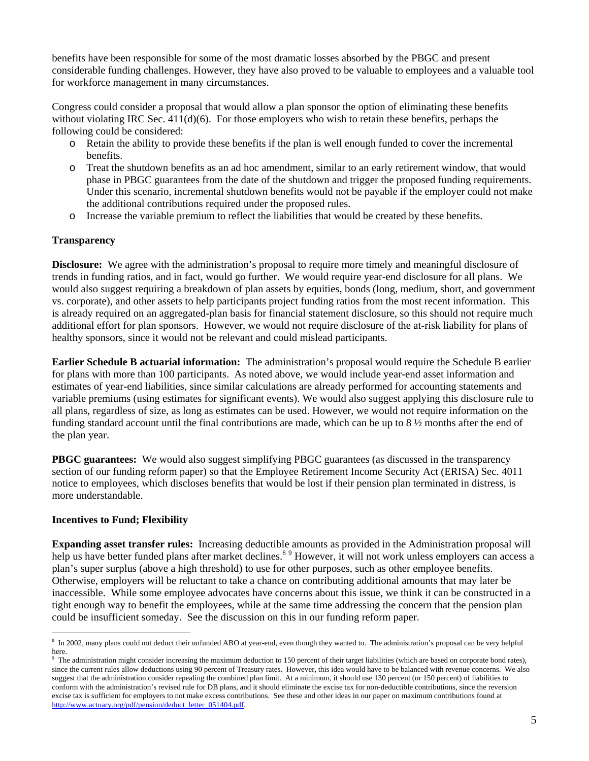benefits have been responsible for some of the most dramatic losses absorbed by the PBGC and present considerable funding challenges. However, they have also proved to be valuable to employees and a valuable tool for workforce management in many circumstances.

Congress could consider a proposal that would allow a plan sponsor the option of eliminating these benefits without violating IRC Sec.  $411(d)(6)$ . For those employers who wish to retain these benefits, perhaps the following could be considered:

- o Retain the ability to provide these benefits if the plan is well enough funded to cover the incremental benefits.
- o Treat the shutdown benefits as an ad hoc amendment, similar to an early retirement window, that would phase in PBGC guarantees from the date of the shutdown and trigger the proposed funding requirements. Under this scenario, incremental shutdown benefits would not be payable if the employer could not make the additional contributions required under the proposed rules.
- o Increase the variable premium to reflect the liabilities that would be created by these benefits.

# **Transparency**

**Disclosure:** We agree with the administration's proposal to require more timely and meaningful disclosure of trends in funding ratios, and in fact, would go further. We would require year-end disclosure for all plans. We would also suggest requiring a breakdown of plan assets by equities, bonds (long, medium, short, and government vs. corporate), and other assets to help participants project funding ratios from the most recent information. This is already required on an aggregated-plan basis for financial statement disclosure, so this should not require much additional effort for plan sponsors. However, we would not require disclosure of the at-risk liability for plans of healthy sponsors, since it would not be relevant and could mislead participants.

**Earlier Schedule B actuarial information:** The administration's proposal would require the Schedule B earlier for plans with more than 100 participants. As noted above, we would include year-end asset information and estimates of year-end liabilities, since similar calculations are already performed for accounting statements and variable premiums (using estimates for significant events). We would also suggest applying this disclosure rule to all plans, regardless of size, as long as estimates can be used. However, we would not require information on the funding standard account until the final contributions are made, which can be up to 8 ½ months after the end of the plan year.

**PBGC guarantees:** We would also suggest simplifying PBGC guarantees (as discussed in the transparency section of our funding reform paper) so that the Employee Retirement Income Security Act (ERISA) Sec. 4011 notice to employees, which discloses benefits that would be lost if their pension plan terminated in distress, is more understandable.

#### **Incentives to Fund; Flexibility**

 $\overline{a}$ 

**Expanding asset transfer rules:** Increasing deductible amounts as provided in the Administration proposal will help us have better funded plans after market declines.<sup>89</sup> However, it will not work unless employers can access a plan's super surplus (above a high threshold) to use for other purposes, such as other employee benefits. Otherwise, employers will be reluctant to take a chance on contributing additional amounts that may later be inaccessible. While some employee advocates have concerns about this issue, we think it can be constructed in a tight enough way to benefit the employees, while at the same time addressing the concern that the pension plan could be insufficient someday. See the discussion on this in our funding reform paper.

<sup>&</sup>lt;sup>8</sup> In 2002, many plans could not deduct their unfunded ABO at year-end, even though they wanted to. The administration's proposal can be very helpful here.

<sup>9</sup> The administration might consider increasing the maximum deduction to 150 percent of their target liabilities (which are based on corporate bond rates), since the current rules allow deductions using 90 percent of Treasury rates. However, this idea would have to be balanced with revenue concerns. We also suggest that the administration consider repealing the combined plan limit. At a minimum, it should use 130 percent (or 150 percent) of liabilities to conform with the administration's revised rule for DB plans, and it should eliminate the excise tax for non-deductible contributions, since the reversion excise tax is sufficient for employers to not make excess contributions. See these and other ideas in our paper on maximum contributions found at http://www.actuary.org/pdf/pension/deduct\_letter\_051404.pdf.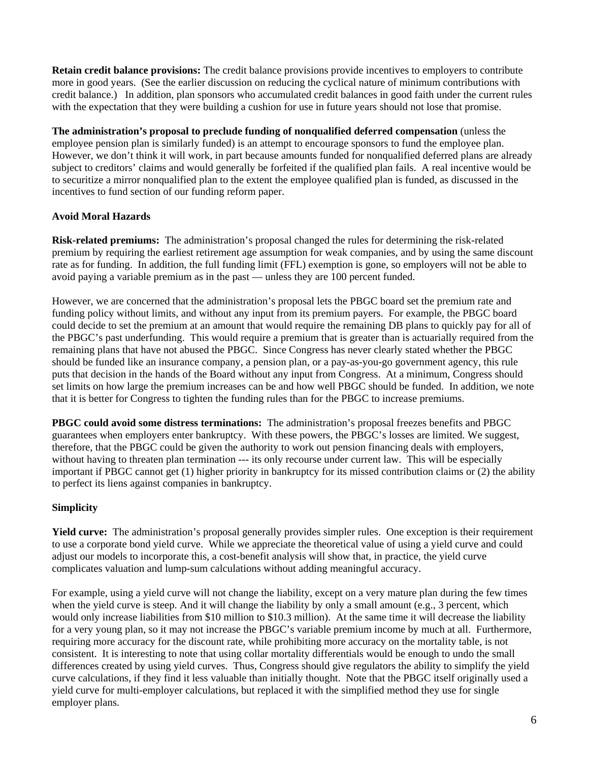**Retain credit balance provisions:** The credit balance provisions provide incentives to employers to contribute more in good years. (See the earlier discussion on reducing the cyclical nature of minimum contributions with credit balance.) In addition, plan sponsors who accumulated credit balances in good faith under the current rules with the expectation that they were building a cushion for use in future years should not lose that promise.

**The administration's proposal to preclude funding of nonqualified deferred compensation** (unless the employee pension plan is similarly funded) is an attempt to encourage sponsors to fund the employee plan. However, we don't think it will work, in part because amounts funded for nonqualified deferred plans are already subject to creditors' claims and would generally be forfeited if the qualified plan fails. A real incentive would be to securitize a mirror nonqualified plan to the extent the employee qualified plan is funded, as discussed in the incentives to fund section of our funding reform paper.

# **Avoid Moral Hazards**

**Risk-related premiums:** The administration's proposal changed the rules for determining the risk-related premium by requiring the earliest retirement age assumption for weak companies, and by using the same discount rate as for funding. In addition, the full funding limit (FFL) exemption is gone, so employers will not be able to avoid paying a variable premium as in the past — unless they are 100 percent funded.

However, we are concerned that the administration's proposal lets the PBGC board set the premium rate and funding policy without limits, and without any input from its premium payers. For example, the PBGC board could decide to set the premium at an amount that would require the remaining DB plans to quickly pay for all of the PBGC's past underfunding. This would require a premium that is greater than is actuarially required from the remaining plans that have not abused the PBGC. Since Congress has never clearly stated whether the PBGC should be funded like an insurance company, a pension plan, or a pay-as-you-go government agency, this rule puts that decision in the hands of the Board without any input from Congress. At a minimum, Congress should set limits on how large the premium increases can be and how well PBGC should be funded. In addition, we note that it is better for Congress to tighten the funding rules than for the PBGC to increase premiums.

**PBGC could avoid some distress terminations:** The administration's proposal freezes benefits and PBGC guarantees when employers enter bankruptcy. With these powers, the PBGC's losses are limited. We suggest, therefore, that the PBGC could be given the authority to work out pension financing deals with employers, without having to threaten plan termination --- its only recourse under current law. This will be especially important if PBGC cannot get (1) higher priority in bankruptcy for its missed contribution claims or (2) the ability to perfect its liens against companies in bankruptcy.

# **Simplicity**

**Yield curve:** The administration's proposal generally provides simpler rules. One exception is their requirement to use a corporate bond yield curve. While we appreciate the theoretical value of using a yield curve and could adjust our models to incorporate this, a cost-benefit analysis will show that, in practice, the yield curve complicates valuation and lump-sum calculations without adding meaningful accuracy.

For example, using a yield curve will not change the liability, except on a very mature plan during the few times when the yield curve is steep. And it will change the liability by only a small amount (e.g., 3 percent, which would only increase liabilities from \$10 million to \$10.3 million). At the same time it will decrease the liability for a very young plan, so it may not increase the PBGC's variable premium income by much at all. Furthermore, requiring more accuracy for the discount rate, while prohibiting more accuracy on the mortality table, is not consistent. It is interesting to note that using collar mortality differentials would be enough to undo the small differences created by using yield curves. Thus, Congress should give regulators the ability to simplify the yield curve calculations, if they find it less valuable than initially thought. Note that the PBGC itself originally used a yield curve for multi-employer calculations, but replaced it with the simplified method they use for single employer plans.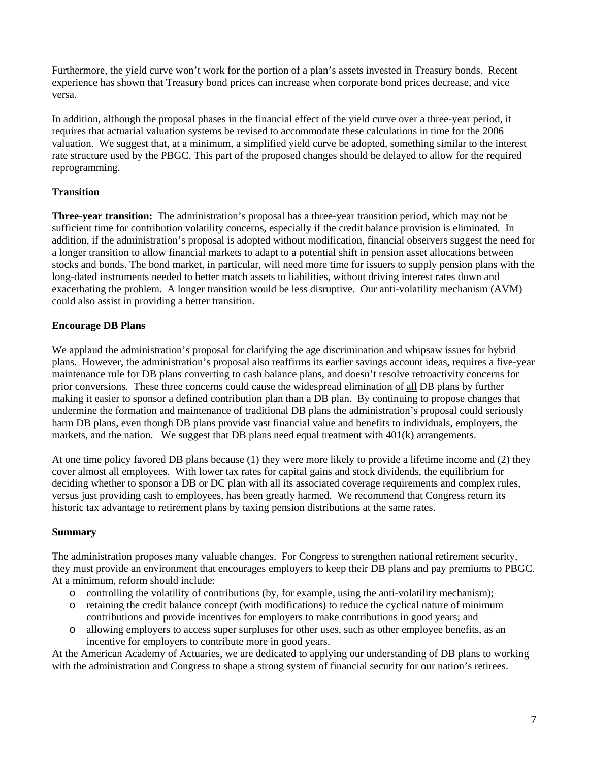Furthermore, the yield curve won't work for the portion of a plan's assets invested in Treasury bonds. Recent experience has shown that Treasury bond prices can increase when corporate bond prices decrease, and vice versa.

In addition, although the proposal phases in the financial effect of the yield curve over a three-year period, it requires that actuarial valuation systems be revised to accommodate these calculations in time for the 2006 valuation. We suggest that, at a minimum, a simplified yield curve be adopted, something similar to the interest rate structure used by the PBGC. This part of the proposed changes should be delayed to allow for the required reprogramming.

# **Transition**

**Three-year transition:** The administration's proposal has a three-year transition period, which may not be sufficient time for contribution volatility concerns, especially if the credit balance provision is eliminated. In addition, if the administration's proposal is adopted without modification, financial observers suggest the need for a longer transition to allow financial markets to adapt to a potential shift in pension asset allocations between stocks and bonds. The bond market, in particular, will need more time for issuers to supply pension plans with the long-dated instruments needed to better match assets to liabilities, without driving interest rates down and exacerbating the problem. A longer transition would be less disruptive. Our anti-volatility mechanism (AVM) could also assist in providing a better transition.

# **Encourage DB Plans**

We applaud the administration's proposal for clarifying the age discrimination and whipsaw issues for hybrid plans. However, the administration's proposal also reaffirms its earlier savings account ideas, requires a five-year maintenance rule for DB plans converting to cash balance plans, and doesn't resolve retroactivity concerns for prior conversions. These three concerns could cause the widespread elimination of all DB plans by further making it easier to sponsor a defined contribution plan than a DB plan. By continuing to propose changes that undermine the formation and maintenance of traditional DB plans the administration's proposal could seriously harm DB plans, even though DB plans provide vast financial value and benefits to individuals, employers, the markets, and the nation. We suggest that DB plans need equal treatment with  $401(k)$  arrangements.

At one time policy favored DB plans because (1) they were more likely to provide a lifetime income and (2) they cover almost all employees. With lower tax rates for capital gains and stock dividends, the equilibrium for deciding whether to sponsor a DB or DC plan with all its associated coverage requirements and complex rules, versus just providing cash to employees, has been greatly harmed. We recommend that Congress return its historic tax advantage to retirement plans by taxing pension distributions at the same rates.

# **Summary**

The administration proposes many valuable changes. For Congress to strengthen national retirement security, they must provide an environment that encourages employers to keep their DB plans and pay premiums to PBGC. At a minimum, reform should include:

- o controlling the volatility of contributions (by, for example, using the anti-volatility mechanism);
- o retaining the credit balance concept (with modifications) to reduce the cyclical nature of minimum contributions and provide incentives for employers to make contributions in good years; and
- o allowing employers to access super surpluses for other uses, such as other employee benefits, as an incentive for employers to contribute more in good years.

At the American Academy of Actuaries, we are dedicated to applying our understanding of DB plans to working with the administration and Congress to shape a strong system of financial security for our nation's retirees.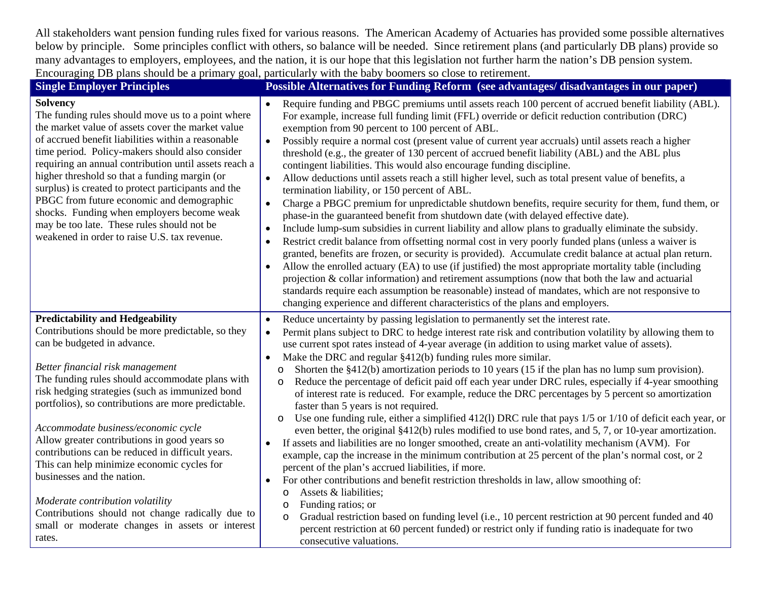All stakeholders want pension funding rules fixed for various reasons. The American Academy of Actuaries has provided some possible alternatives below by principle. Some principles conflict with others, so balance will be needed. Since retirement plans (and particularly DB plans) provide so many advantages to employers, employees, and the nation, it is our hope that this legislation not further harm the nation's DB pension system. Encouraging DB plans should be a primary goal, particularly with the baby boomers so close to retirement.

| <b>Single Employer Principles</b>                                                                                                                                                                                                                                                                                                                                                                                                                                                                                                                                                                                                                                                                       | Possible Alternatives for Funding Reform (see advantages/ disadvantages in our paper)                                                                                                                                                                                                                                                                                                                                                                                                                                                                                                                                                                                                                                                                                                                                                                                                                                                                                                                                                                                                                                                                                                                                                                                                                                                                                                                                                                                                                                                                                                                                                                                                                |
|---------------------------------------------------------------------------------------------------------------------------------------------------------------------------------------------------------------------------------------------------------------------------------------------------------------------------------------------------------------------------------------------------------------------------------------------------------------------------------------------------------------------------------------------------------------------------------------------------------------------------------------------------------------------------------------------------------|------------------------------------------------------------------------------------------------------------------------------------------------------------------------------------------------------------------------------------------------------------------------------------------------------------------------------------------------------------------------------------------------------------------------------------------------------------------------------------------------------------------------------------------------------------------------------------------------------------------------------------------------------------------------------------------------------------------------------------------------------------------------------------------------------------------------------------------------------------------------------------------------------------------------------------------------------------------------------------------------------------------------------------------------------------------------------------------------------------------------------------------------------------------------------------------------------------------------------------------------------------------------------------------------------------------------------------------------------------------------------------------------------------------------------------------------------------------------------------------------------------------------------------------------------------------------------------------------------------------------------------------------------------------------------------------------------|
| <b>Solvency</b><br>The funding rules should move us to a point where<br>the market value of assets cover the market value<br>of accrued benefit liabilities within a reasonable<br>time period. Policy-makers should also consider<br>requiring an annual contribution until assets reach a<br>higher threshold so that a funding margin (or<br>surplus) is created to protect participants and the<br>PBGC from future economic and demographic<br>shocks. Funding when employers become weak<br>may be too late. These rules should not be<br>weakened in order to raise U.S. tax revenue.                                                                                                            | Require funding and PBGC premiums until assets reach 100 percent of accrued benefit liability (ABL).<br>For example, increase full funding limit (FFL) override or deficit reduction contribution (DRC)<br>exemption from 90 percent to 100 percent of ABL.<br>Possibly require a normal cost (present value of current year accruals) until assets reach a higher<br>threshold (e.g., the greater of 130 percent of accrued benefit liability (ABL) and the ABL plus<br>contingent liabilities. This would also encourage funding discipline.<br>Allow deductions until assets reach a still higher level, such as total present value of benefits, a<br>$\bullet$<br>termination liability, or 150 percent of ABL.<br>Charge a PBGC premium for unpredictable shutdown benefits, require security for them, fund them, or<br>$\bullet$<br>phase-in the guaranteed benefit from shutdown date (with delayed effective date).<br>Include lump-sum subsidies in current liability and allow plans to gradually eliminate the subsidy.<br>$\bullet$<br>Restrict credit balance from offsetting normal cost in very poorly funded plans (unless a waiver is<br>$\bullet$<br>granted, benefits are frozen, or security is provided). Accumulate credit balance at actual plan return.<br>Allow the enrolled actuary (EA) to use (if justified) the most appropriate mortality table (including<br>$\bullet$<br>projection $\&$ collar information) and retirement assumptions (now that both the law and actuarial<br>standards require each assumption be reasonable) instead of mandates, which are not responsive to<br>changing experience and different characteristics of the plans and employers. |
| <b>Predictability and Hedgeability</b><br>Contributions should be more predictable, so they<br>can be budgeted in advance.<br>Better financial risk management<br>The funding rules should accommodate plans with<br>risk hedging strategies (such as immunized bond<br>portfolios), so contributions are more predictable.<br>Accommodate business/economic cycle<br>Allow greater contributions in good years so<br>contributions can be reduced in difficult years.<br>This can help minimize economic cycles for<br>businesses and the nation.<br>Moderate contribution volatility<br>Contributions should not change radically due to<br>small or moderate changes in assets or interest<br>rates. | Reduce uncertainty by passing legislation to permanently set the interest rate.<br>$\bullet$<br>Permit plans subject to DRC to hedge interest rate risk and contribution volatility by allowing them to<br>use current spot rates instead of 4-year average (in addition to using market value of assets).<br>Make the DRC and regular §412(b) funding rules more similar.<br>$\bullet$<br>Shorten the $§412(b)$ amortization periods to 10 years (15 if the plan has no lump sum provision).<br>$\circ$<br>Reduce the percentage of deficit paid off each year under DRC rules, especially if 4-year smoothing<br>$\circ$<br>of interest rate is reduced. For example, reduce the DRC percentages by 5 percent so amortization<br>faster than 5 years is not required.<br>Use one funding rule, either a simplified $412(1)$ DRC rule that pays $1/5$ or $1/10$ of deficit each year, or<br>$\circ$<br>even better, the original §412(b) rules modified to use bond rates, and 5, 7, or 10-year amortization.<br>If assets and liabilities are no longer smoothed, create an anti-volatility mechanism (AVM). For<br>$\bullet$<br>example, cap the increase in the minimum contribution at 25 percent of the plan's normal cost, or 2<br>percent of the plan's accrued liabilities, if more.<br>For other contributions and benefit restriction thresholds in law, allow smoothing of:<br>Assets & liabilities;<br>O<br>Funding ratios; or<br>$\circ$<br>Gradual restriction based on funding level (i.e., 10 percent restriction at 90 percent funded and 40<br>O<br>percent restriction at 60 percent funded) or restrict only if funding ratio is inadequate for two<br>consecutive valuations.  |